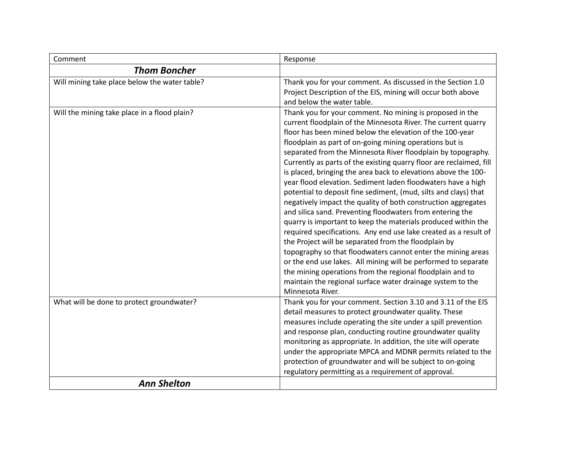| Comment                                       | Response                                                                                                                                                                                                                                                                                                                                                                                                                                                                                                                                                                                                                                                                                                                                                                                                                                                                                                                                                                                                                                                                                                                                                                                                 |
|-----------------------------------------------|----------------------------------------------------------------------------------------------------------------------------------------------------------------------------------------------------------------------------------------------------------------------------------------------------------------------------------------------------------------------------------------------------------------------------------------------------------------------------------------------------------------------------------------------------------------------------------------------------------------------------------------------------------------------------------------------------------------------------------------------------------------------------------------------------------------------------------------------------------------------------------------------------------------------------------------------------------------------------------------------------------------------------------------------------------------------------------------------------------------------------------------------------------------------------------------------------------|
| <b>Thom Boncher</b>                           |                                                                                                                                                                                                                                                                                                                                                                                                                                                                                                                                                                                                                                                                                                                                                                                                                                                                                                                                                                                                                                                                                                                                                                                                          |
| Will mining take place below the water table? | Thank you for your comment. As discussed in the Section 1.0<br>Project Description of the EIS, mining will occur both above<br>and below the water table.                                                                                                                                                                                                                                                                                                                                                                                                                                                                                                                                                                                                                                                                                                                                                                                                                                                                                                                                                                                                                                                |
| Will the mining take place in a flood plain?  | Thank you for your comment. No mining is proposed in the<br>current floodplain of the Minnesota River. The current quarry<br>floor has been mined below the elevation of the 100-year<br>floodplain as part of on-going mining operations but is<br>separated from the Minnesota River floodplain by topography.<br>Currently as parts of the existing quarry floor are reclaimed, fill<br>is placed, bringing the area back to elevations above the 100-<br>year flood elevation. Sediment laden floodwaters have a high<br>potential to deposit fine sediment, (mud, silts and clays) that<br>negatively impact the quality of both construction aggregates<br>and silica sand. Preventing floodwaters from entering the<br>quarry is important to keep the materials produced within the<br>required specifications. Any end use lake created as a result of<br>the Project will be separated from the floodplain by<br>topography so that floodwaters cannot enter the mining areas<br>or the end use lakes. All mining will be performed to separate<br>the mining operations from the regional floodplain and to<br>maintain the regional surface water drainage system to the<br>Minnesota River. |
| What will be done to protect groundwater?     | Thank you for your comment. Section 3.10 and 3.11 of the EIS<br>detail measures to protect groundwater quality. These<br>measures include operating the site under a spill prevention<br>and response plan, conducting routine groundwater quality<br>monitoring as appropriate. In addition, the site will operate<br>under the appropriate MPCA and MDNR permits related to the<br>protection of groundwater and will be subject to on-going<br>regulatory permitting as a requirement of approval.                                                                                                                                                                                                                                                                                                                                                                                                                                                                                                                                                                                                                                                                                                    |
| <b>Ann Shelton</b>                            |                                                                                                                                                                                                                                                                                                                                                                                                                                                                                                                                                                                                                                                                                                                                                                                                                                                                                                                                                                                                                                                                                                                                                                                                          |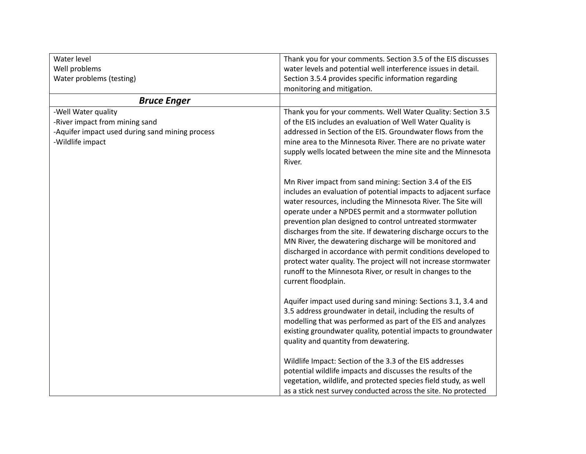| Water level                                                                                                                  | Thank you for your comments. Section 3.5 of the EIS discusses                                                                                                                                                                                                                                                                                                                                                                                                                                                                                                                                                                                                              |
|------------------------------------------------------------------------------------------------------------------------------|----------------------------------------------------------------------------------------------------------------------------------------------------------------------------------------------------------------------------------------------------------------------------------------------------------------------------------------------------------------------------------------------------------------------------------------------------------------------------------------------------------------------------------------------------------------------------------------------------------------------------------------------------------------------------|
| Well problems                                                                                                                | water levels and potential well interference issues in detail.                                                                                                                                                                                                                                                                                                                                                                                                                                                                                                                                                                                                             |
| Water problems (testing)                                                                                                     | Section 3.5.4 provides specific information regarding                                                                                                                                                                                                                                                                                                                                                                                                                                                                                                                                                                                                                      |
|                                                                                                                              | monitoring and mitigation.                                                                                                                                                                                                                                                                                                                                                                                                                                                                                                                                                                                                                                                 |
| <b>Bruce Enger</b>                                                                                                           |                                                                                                                                                                                                                                                                                                                                                                                                                                                                                                                                                                                                                                                                            |
| -Well Water quality<br>-River impact from mining sand<br>-Aquifer impact used during sand mining process<br>-Wildlife impact | Thank you for your comments. Well Water Quality: Section 3.5<br>of the EIS includes an evaluation of Well Water Quality is<br>addressed in Section of the EIS. Groundwater flows from the<br>mine area to the Minnesota River. There are no private water<br>supply wells located between the mine site and the Minnesota<br>River.                                                                                                                                                                                                                                                                                                                                        |
|                                                                                                                              | Mn River impact from sand mining: Section 3.4 of the EIS<br>includes an evaluation of potential impacts to adjacent surface<br>water resources, including the Minnesota River. The Site will<br>operate under a NPDES permit and a stormwater pollution<br>prevention plan designed to control untreated stormwater<br>discharges from the site. If dewatering discharge occurs to the<br>MN River, the dewatering discharge will be monitored and<br>discharged in accordance with permit conditions developed to<br>protect water quality. The project will not increase stormwater<br>runoff to the Minnesota River, or result in changes to the<br>current floodplain. |
|                                                                                                                              | Aquifer impact used during sand mining: Sections 3.1, 3.4 and<br>3.5 address groundwater in detail, including the results of<br>modelling that was performed as part of the EIS and analyzes<br>existing groundwater quality, potential impacts to groundwater<br>quality and quantity from dewatering.                                                                                                                                                                                                                                                                                                                                                                    |
|                                                                                                                              | Wildlife Impact: Section of the 3.3 of the EIS addresses<br>potential wildlife impacts and discusses the results of the<br>vegetation, wildlife, and protected species field study, as well<br>as a stick nest survey conducted across the site. No protected                                                                                                                                                                                                                                                                                                                                                                                                              |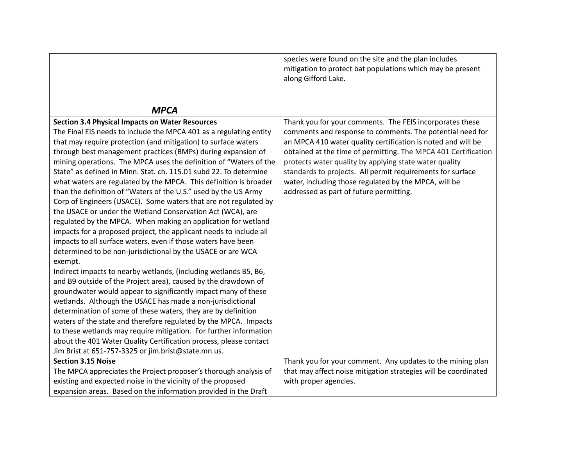|                                                                    | species were found on the site and the plan includes<br>mitigation to protect bat populations which may be present |
|--------------------------------------------------------------------|--------------------------------------------------------------------------------------------------------------------|
|                                                                    | along Gifford Lake.                                                                                                |
|                                                                    |                                                                                                                    |
| <b>MPCA</b>                                                        |                                                                                                                    |
| <b>Section 3.4 Physical Impacts on Water Resources</b>             | Thank you for your comments. The FEIS incorporates these                                                           |
| The Final EIS needs to include the MPCA 401 as a regulating entity | comments and response to comments. The potential need for                                                          |
| that may require protection (and mitigation) to surface waters     | an MPCA 410 water quality certification is noted and will be                                                       |
| through best management practices (BMPs) during expansion of       | obtained at the time of permitting. The MPCA 401 Certification                                                     |
| mining operations. The MPCA uses the definition of "Waters of the  | protects water quality by applying state water quality                                                             |
| State" as defined in Minn. Stat. ch. 115.01 subd 22. To determine  | standards to projects. All permit requirements for surface                                                         |
| what waters are regulated by the MPCA. This definition is broader  | water, including those regulated by the MPCA, will be                                                              |
| than the definition of "Waters of the U.S." used by the US Army    | addressed as part of future permitting.                                                                            |
| Corp of Engineers (USACE). Some waters that are not regulated by   |                                                                                                                    |
| the USACE or under the Wetland Conservation Act (WCA), are         |                                                                                                                    |
| regulated by the MPCA. When making an application for wetland      |                                                                                                                    |
| impacts for a proposed project, the applicant needs to include all |                                                                                                                    |
| impacts to all surface waters, even if those waters have been      |                                                                                                                    |
| determined to be non-jurisdictional by the USACE or are WCA        |                                                                                                                    |
| exempt.                                                            |                                                                                                                    |
| Indirect impacts to nearby wetlands, (including wetlands B5, B6,   |                                                                                                                    |
| and B9 outside of the Project area), caused by the drawdown of     |                                                                                                                    |
| groundwater would appear to significantly impact many of these     |                                                                                                                    |
| wetlands. Although the USACE has made a non-jurisdictional         |                                                                                                                    |
| determination of some of these waters, they are by definition      |                                                                                                                    |
| waters of the state and therefore regulated by the MPCA. Impacts   |                                                                                                                    |
| to these wetlands may require mitigation. For further information  |                                                                                                                    |
| about the 401 Water Quality Certification process, please contact  |                                                                                                                    |
| Jim Brist at 651-757-3325 or jim.brist@state.mn.us.                |                                                                                                                    |
| <b>Section 3.15 Noise</b>                                          | Thank you for your comment. Any updates to the mining plan                                                         |
| The MPCA appreciates the Project proposer's thorough analysis of   | that may affect noise mitigation strategies will be coordinated                                                    |
| existing and expected noise in the vicinity of the proposed        | with proper agencies.                                                                                              |
| expansion areas. Based on the information provided in the Draft    |                                                                                                                    |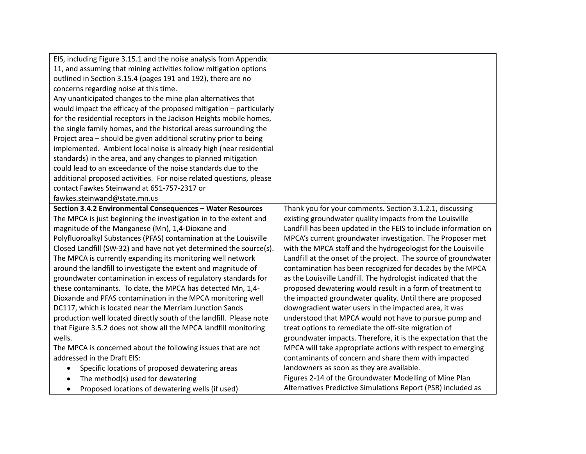| EIS, including Figure 3.15.1 and the noise analysis from Appendix   |                                                                 |
|---------------------------------------------------------------------|-----------------------------------------------------------------|
| 11, and assuming that mining activities follow mitigation options   |                                                                 |
| outlined in Section 3.15.4 (pages 191 and 192), there are no        |                                                                 |
| concerns regarding noise at this time.                              |                                                                 |
| Any unanticipated changes to the mine plan alternatives that        |                                                                 |
| would impact the efficacy of the proposed mitigation - particularly |                                                                 |
| for the residential receptors in the Jackson Heights mobile homes,  |                                                                 |
| the single family homes, and the historical areas surrounding the   |                                                                 |
| Project area - should be given additional scrutiny prior to being   |                                                                 |
| implemented. Ambient local noise is already high (near residential  |                                                                 |
| standards) in the area, and any changes to planned mitigation       |                                                                 |
| could lead to an exceedance of the noise standards due to the       |                                                                 |
| additional proposed activities. For noise related questions, please |                                                                 |
| contact Fawkes Steinwand at 651-757-2317 or                         |                                                                 |
| fawkes.steinwand@state.mn.us                                        |                                                                 |
| Section 3.4.2 Environmental Consequences - Water Resources          | Thank you for your comments. Section 3.1.2.1, discussing        |
| The MPCA is just beginning the investigation in to the extent and   | existing groundwater quality impacts from the Louisville        |
| magnitude of the Manganese (Mn), 1,4-Dioxane and                    | Landfill has been updated in the FEIS to include information on |
| Polyfluoroalkyl Substances (PFAS) contamination at the Louisville   | MPCA's current groundwater investigation. The Proposer met      |
| Closed Landfill (SW-32) and have not yet determined the source(s).  | with the MPCA staff and the hydrogeologist for the Louisville   |
| The MPCA is currently expanding its monitoring well network         | Landfill at the onset of the project. The source of groundwater |
| around the landfill to investigate the extent and magnitude of      | contamination has been recognized for decades by the MPCA       |
| groundwater contamination in excess of regulatory standards for     | as the Louisville Landfill. The hydrologist indicated that the  |
| these contaminants. To date, the MPCA has detected Mn, 1,4-         | proposed dewatering would result in a form of treatment to      |
| Dioxande and PFAS contamination in the MPCA monitoring well         | the impacted groundwater quality. Until there are proposed      |
| DC117, which is located near the Merriam Junction Sands             | downgradient water users in the impacted area, it was           |
| production well located directly south of the landfill. Please note | understood that MPCA would not have to pursue pump and          |
| that Figure 3.5.2 does not show all the MPCA landfill monitoring    | treat options to remediate the off-site migration of            |
| wells.                                                              | groundwater impacts. Therefore, it is the expectation that the  |
| The MPCA is concerned about the following issues that are not       | MPCA will take appropriate actions with respect to emerging     |
| addressed in the Draft EIS:                                         | contaminants of concern and share them with impacted            |
| Specific locations of proposed dewatering areas                     | landowners as soon as they are available.                       |
| The method(s) used for dewatering                                   | Figures 2-14 of the Groundwater Modelling of Mine Plan          |
| Proposed locations of dewatering wells (if used)<br>٠               | Alternatives Predictive Simulations Report (PSR) included as    |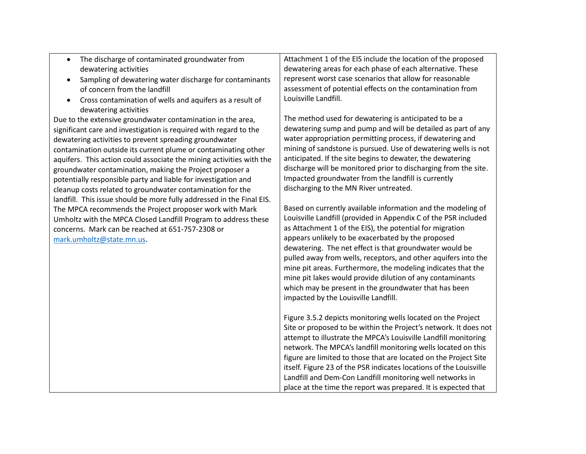- The discharge of contaminated groundwater from dewatering activities
- Sampling of dewatering water discharge for contaminants of concern from the landfill
- Cross contamination of wells and aquifers as a result of dewatering activities

Due to the extensive groundwater contamination in the area, significant care and investigation is required with regard to the dewatering activities to prevent spreading groundwater contamination outside its current plume or contaminating other aquifers. This action could associate the mining activities with the groundwater contamination, making the Project proposer a potentially responsible party and liable for investigation and cleanup costs related to groundwater contamination for the landfill. This issue should be more fully addressed in the Final EIS. The MPCA recommends the Project proposer work with Mark Umholtz with the MPCA Closed Landfill Program to address these concerns. Mark can be reached at 651-757-2308 or [mark.umholtz@state.mn.us.](mailto:mark.umholtz@state.mn.us)

Attachment 1 of the EIS include the location of the proposed dewatering areas for each phase of each alternative. These represent worst case scenarios that allow for reasonable assessment of potential effects on the contamination from Louisville Landfill.

The method used for dewatering is anticipated to be a dewatering sump and pump and will be detailed as part of any water appropriation permitting process, if dewatering and mining of sandstone is pursued. Use of dewatering wells is not anticipated. If the site begins to dewater, the dewatering discharge will be monitored prior to discharging from the site. Impacted groundwater from the landfill is currently discharging to the MN River untreated.

Based on currently available information and the modeling of Louisville Landfill (provided in Appendix C of the PSR included as Attachment 1 of the EIS), the potential for migration appears unlikely to be exacerbated by the proposed dewatering. The net effect is that groundwater would be pulled away from wells, receptors, and other aquifers into the mine pit areas. Furthermore, the modeling indicates that the mine pit lakes would provide dilution of any contaminants which may be present in the groundwater that has been impacted by the Louisville Landfill.

Figure 3.5.2 depicts monitoring wells located on the Project Site or proposed to be within the Project's network. It does not attempt to illustrate the MPCA's Louisville Landfill monitoring network. The MPCA's landfill monitoring wells located on this figure are limited to those that are located on the Project Site itself. Figure 23 of the PSR indicates locations of the Louisville Landfill and Dem-Con Landfill monitoring well networks in place at the time the report was prepared. It is expected that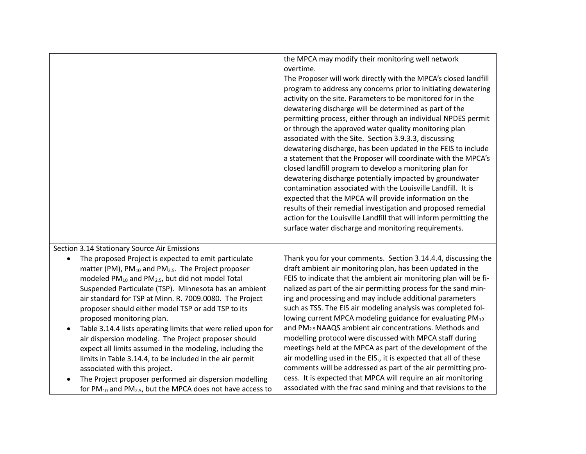|                                                                                                                                                                                                                                                                                                                                                                                                                                                                                                                                                                                                                                                                                                                                                                                                                                                                                                                      | the MPCA may modify their monitoring well network<br>overtime.<br>The Proposer will work directly with the MPCA's closed landfill<br>program to address any concerns prior to initiating dewatering<br>activity on the site. Parameters to be monitored for in the<br>dewatering discharge will be determined as part of the<br>permitting process, either through an individual NPDES permit<br>or through the approved water quality monitoring plan<br>associated with the Site. Section 3.9.3.3, discussing<br>dewatering discharge, has been updated in the FEIS to include<br>a statement that the Proposer will coordinate with the MPCA's<br>closed landfill program to develop a monitoring plan for<br>dewatering discharge potentially impacted by groundwater<br>contamination associated with the Louisville Landfill. It is<br>expected that the MPCA will provide information on the<br>results of their remedial investigation and proposed remedial<br>action for the Louisville Landfill that will inform permitting the<br>surface water discharge and monitoring requirements. |
|----------------------------------------------------------------------------------------------------------------------------------------------------------------------------------------------------------------------------------------------------------------------------------------------------------------------------------------------------------------------------------------------------------------------------------------------------------------------------------------------------------------------------------------------------------------------------------------------------------------------------------------------------------------------------------------------------------------------------------------------------------------------------------------------------------------------------------------------------------------------------------------------------------------------|----------------------------------------------------------------------------------------------------------------------------------------------------------------------------------------------------------------------------------------------------------------------------------------------------------------------------------------------------------------------------------------------------------------------------------------------------------------------------------------------------------------------------------------------------------------------------------------------------------------------------------------------------------------------------------------------------------------------------------------------------------------------------------------------------------------------------------------------------------------------------------------------------------------------------------------------------------------------------------------------------------------------------------------------------------------------------------------------------|
| Section 3.14 Stationary Source Air Emissions<br>The proposed Project is expected to emit particulate<br>matter (PM), PM <sub>10</sub> and PM <sub>2.5</sub> . The Project proposer<br>modeled PM <sub>10</sub> and PM <sub>2.5</sub> , but did not model Total<br>Suspended Particulate (TSP). Minnesota has an ambient<br>air standard for TSP at Minn. R. 7009.0080. The Project<br>proposer should either model TSP or add TSP to its<br>proposed monitoring plan.<br>Table 3.14.4 lists operating limits that were relied upon for<br>$\bullet$<br>air dispersion modeling. The Project proposer should<br>expect all limits assumed in the modeling, including the<br>limits in Table 3.14.4, to be included in the air permit<br>associated with this project.<br>The Project proposer performed air dispersion modelling<br>for PM <sub>10</sub> and PM <sub>2.5</sub> , but the MPCA does not have access to | Thank you for your comments. Section 3.14.4.4, discussing the<br>draft ambient air monitoring plan, has been updated in the<br>FEIS to indicate that the ambient air monitoring plan will be fi-<br>nalized as part of the air permitting process for the sand min-<br>ing and processing and may include additional parameters<br>such as TSS. The EIS air modeling analysis was completed fol-<br>lowing current MPCA modeling guidance for evaluating PM10<br>and PM <sub>2.5</sub> NAAQS ambient air concentrations. Methods and<br>modelling protocol were discussed with MPCA staff during<br>meetings held at the MPCA as part of the development of the<br>air modelling used in the EIS., it is expected that all of these<br>comments will be addressed as part of the air permitting pro-<br>cess. It is expected that MPCA will require an air monitoring<br>associated with the frac sand mining and that revisions to the                                                                                                                                                            |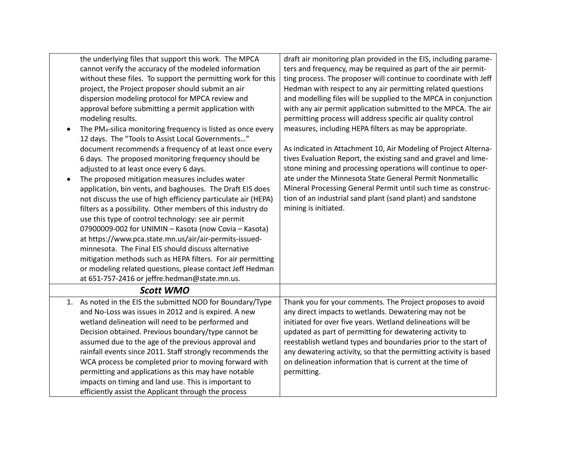| the underlying files that support this work. The MPCA<br>cannot verify the accuracy of the modeled information | draft air monitoring plan provided in the EIS, including parame-<br>ters and frequency, may be required as part of the air permit- |
|----------------------------------------------------------------------------------------------------------------|------------------------------------------------------------------------------------------------------------------------------------|
| without these files. To support the permitting work for this                                                   | ting process. The proposer will continue to coordinate with Jeff                                                                   |
| project, the Project proposer should submit an air                                                             | Hedman with respect to any air permitting related questions                                                                        |
| dispersion modeling protocol for MPCA review and                                                               | and modelling files will be supplied to the MPCA in conjunction                                                                    |
| approval before submitting a permit application with                                                           | with any air permit application submitted to the MPCA. The air                                                                     |
| modeling results.                                                                                              | permitting process will address specific air quality control                                                                       |
| The PM <sub>4</sub> -silica monitoring frequency is listed as once every                                       | measures, including HEPA filters as may be appropriate.                                                                            |
| 12 days. The "Tools to Assist Local Governments"                                                               |                                                                                                                                    |
| document recommends a frequency of at least once every                                                         | As indicated in Attachment 10, Air Modeling of Project Alterna-                                                                    |
| 6 days. The proposed monitoring frequency should be                                                            | tives Evaluation Report, the existing sand and gravel and lime-                                                                    |
| adjusted to at least once every 6 days.                                                                        | stone mining and processing operations will continue to oper-                                                                      |
| The proposed mitigation measures includes water                                                                | ate under the Minnesota State General Permit Nonmetallic                                                                           |
| application, bin vents, and baghouses. The Draft EIS does                                                      | Mineral Processing General Permit until such time as construc-                                                                     |
| not discuss the use of high efficiency particulate air (HEPA)                                                  | tion of an industrial sand plant (sand plant) and sandstone                                                                        |
| filters as a possibility. Other members of this industry do                                                    | mining is initiated.                                                                                                               |
| use this type of control technology: see air permit                                                            |                                                                                                                                    |
| 07900009-002 for UNIMIN - Kasota (now Covia - Kasota)                                                          |                                                                                                                                    |
| at https://www.pca.state.mn.us/air/air-permits-issued-                                                         |                                                                                                                                    |
| minnesota. The Final EIS should discuss alternative                                                            |                                                                                                                                    |
| mitigation methods such as HEPA filters. For air permitting                                                    |                                                                                                                                    |
| or modeling related questions, please contact Jeff Hedman                                                      |                                                                                                                                    |
| at 651-757-2416 or jeffre.hedman@state.mn.us.                                                                  |                                                                                                                                    |
| <b>Scott WMO</b>                                                                                               |                                                                                                                                    |
| 1. As noted in the EIS the submitted NOD for Boundary/Type                                                     | Thank you for your comments. The Project proposes to avoid                                                                         |
| and No-Loss was issues in 2012 and is expired. A new                                                           | any direct impacts to wetlands. Dewatering may not be                                                                              |
| wetland delineation will need to be performed and                                                              | initiated for over five years. Wetland delineations will be                                                                        |
| Decision obtained. Previous boundary/type cannot be                                                            | updated as part of permitting for dewatering activity to                                                                           |
| assumed due to the age of the previous approval and                                                            | reestablish wetland types and boundaries prior to the start of                                                                     |
| rainfall events since 2011. Staff strongly recommends the                                                      | any dewatering activity, so that the permitting activity is based                                                                  |
| WCA process be completed prior to moving forward with                                                          | on delineation information that is current at the time of                                                                          |
| permitting and applications as this may have notable                                                           | permitting.                                                                                                                        |
| impacts on timing and land use. This is important to                                                           |                                                                                                                                    |
| efficiently assist the Applicant through the process                                                           |                                                                                                                                    |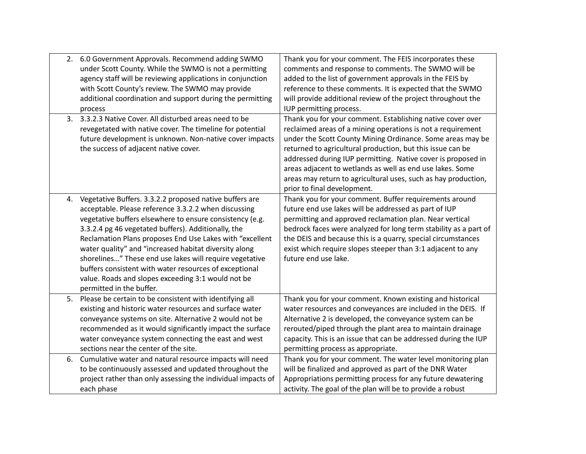|    | 2. 6.0 Government Approvals. Recommend adding SWMO<br>under Scott County. While the SWMO is not a permitting<br>agency staff will be reviewing applications in conjunction | Thank you for your comment. The FEIS incorporates these<br>comments and response to comments. The SWMO will be<br>added to the list of government approvals in the FEIS by |
|----|----------------------------------------------------------------------------------------------------------------------------------------------------------------------------|----------------------------------------------------------------------------------------------------------------------------------------------------------------------------|
|    |                                                                                                                                                                            |                                                                                                                                                                            |
|    | with Scott County's review. The SWMO may provide                                                                                                                           | reference to these comments. It is expected that the SWMO                                                                                                                  |
|    | additional coordination and support during the permitting                                                                                                                  | will provide additional review of the project throughout the                                                                                                               |
|    | process                                                                                                                                                                    | IUP permitting process.                                                                                                                                                    |
| 3. | 3.3.2.3 Native Cover. All disturbed areas need to be                                                                                                                       | Thank you for your comment. Establishing native cover over                                                                                                                 |
|    | revegetated with native cover. The timeline for potential                                                                                                                  | reclaimed areas of a mining operations is not a requirement                                                                                                                |
|    | future development is unknown. Non-native cover impacts                                                                                                                    | under the Scott County Mining Ordinance. Some areas may be                                                                                                                 |
|    | the success of adjacent native cover.                                                                                                                                      | returned to agricultural production, but this issue can be                                                                                                                 |
|    |                                                                                                                                                                            | addressed during IUP permitting. Native cover is proposed in                                                                                                               |
|    |                                                                                                                                                                            | areas adjacent to wetlands as well as end use lakes. Some                                                                                                                  |
|    |                                                                                                                                                                            | areas may return to agricultural uses, such as hay production,                                                                                                             |
|    |                                                                                                                                                                            | prior to final development.                                                                                                                                                |
|    | 4. Vegetative Buffers. 3.3.2.2 proposed native buffers are                                                                                                                 | Thank you for your comment. Buffer requirements around                                                                                                                     |
|    | acceptable. Please reference 3.3.2.2 when discussing                                                                                                                       | future end use lakes will be addressed as part of IUP                                                                                                                      |
|    | vegetative buffers elsewhere to ensure consistency (e.g.                                                                                                                   | permitting and approved reclamation plan. Near vertical                                                                                                                    |
|    | 3.3.2.4 pg 46 vegetated buffers). Additionally, the                                                                                                                        | bedrock faces were analyzed for long term stability as a part of                                                                                                           |
|    | Reclamation Plans proposes End Use Lakes with "excellent                                                                                                                   | the DEIS and because this is a quarry, special circumstances                                                                                                               |
|    | water quality" and "increased habitat diversity along                                                                                                                      | exist which require slopes steeper than 3:1 adjacent to any                                                                                                                |
|    | shorelines" These end use lakes will require vegetative                                                                                                                    | future end use lake.                                                                                                                                                       |
|    | buffers consistent with water resources of exceptional                                                                                                                     |                                                                                                                                                                            |
|    | value. Roads and slopes exceeding 3:1 would not be                                                                                                                         |                                                                                                                                                                            |
|    | permitted in the buffer.                                                                                                                                                   |                                                                                                                                                                            |
| 5. | Please be certain to be consistent with identifying all                                                                                                                    | Thank you for your comment. Known existing and historical                                                                                                                  |
|    | existing and historic water resources and surface water                                                                                                                    | water resources and conveyances are included in the DEIS. If                                                                                                               |
|    | conveyance systems on site. Alternative 2 would not be                                                                                                                     | Alternative 2 is developed, the conveyance system can be                                                                                                                   |
|    | recommended as it would significantly impact the surface                                                                                                                   | rerouted/piped through the plant area to maintain drainage                                                                                                                 |
|    | water conveyance system connecting the east and west                                                                                                                       | capacity. This is an issue that can be addressed during the IUP                                                                                                            |
|    | sections near the center of the site.                                                                                                                                      | permitting process as appropriate.                                                                                                                                         |
| 6. | Cumulative water and natural resource impacts will need                                                                                                                    | Thank you for your comment. The water level monitoring plan                                                                                                                |
|    | to be continuously assessed and updated throughout the                                                                                                                     | will be finalized and approved as part of the DNR Water                                                                                                                    |
|    | project rather than only assessing the individual impacts of                                                                                                               | Appropriations permitting process for any future dewatering                                                                                                                |
|    | each phase                                                                                                                                                                 | activity. The goal of the plan will be to provide a robust                                                                                                                 |
|    |                                                                                                                                                                            |                                                                                                                                                                            |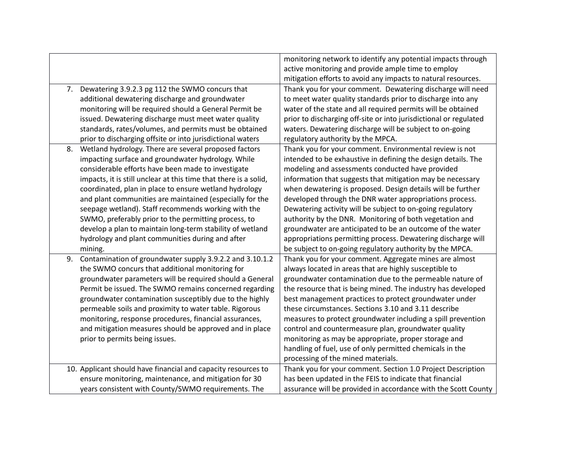|    |                                                                  | monitoring network to identify any potential impacts through      |
|----|------------------------------------------------------------------|-------------------------------------------------------------------|
|    |                                                                  | active monitoring and provide ample time to employ                |
|    |                                                                  | mitigation efforts to avoid any impacts to natural resources.     |
|    | 7. Dewatering 3.9.2.3 pg 112 the SWMO concurs that               | Thank you for your comment. Dewatering discharge will need        |
|    | additional dewatering discharge and groundwater                  | to meet water quality standards prior to discharge into any       |
|    | monitoring will be required should a General Permit be           | water of the state and all required permits will be obtained      |
|    | issued. Dewatering discharge must meet water quality             | prior to discharging off-site or into jurisdictional or regulated |
|    | standards, rates/volumes, and permits must be obtained           | waters. Dewatering discharge will be subject to on-going          |
|    | prior to discharging offsite or into jurisdictional waters       | regulatory authority by the MPCA.                                 |
| 8. | Wetland hydrology. There are several proposed factors            | Thank you for your comment. Environmental review is not           |
|    | impacting surface and groundwater hydrology. While               | intended to be exhaustive in defining the design details. The     |
|    | considerable efforts have been made to investigate               | modeling and assessments conducted have provided                  |
|    | impacts, it is still unclear at this time that there is a solid, | information that suggests that mitigation may be necessary        |
|    | coordinated, plan in place to ensure wetland hydrology           | when dewatering is proposed. Design details will be further       |
|    | and plant communities are maintained (especially for the         | developed through the DNR water appropriations process.           |
|    | seepage wetland). Staff recommends working with the              | Dewatering activity will be subject to on-going regulatory        |
|    | SWMO, preferably prior to the permitting process, to             | authority by the DNR. Monitoring of both vegetation and           |
|    | develop a plan to maintain long-term stability of wetland        | groundwater are anticipated to be an outcome of the water         |
|    | hydrology and plant communities during and after                 | appropriations permitting process. Dewatering discharge will      |
|    | mining.                                                          | be subject to on-going regulatory authority by the MPCA.          |
| 9. | Contamination of groundwater supply 3.9.2.2 and 3.10.1.2         | Thank you for your comment. Aggregate mines are almost            |
|    | the SWMO concurs that additional monitoring for                  | always located in areas that are highly susceptible to            |
|    | groundwater parameters will be required should a General         | groundwater contamination due to the permeable nature of          |
|    | Permit be issued. The SWMO remains concerned regarding           | the resource that is being mined. The industry has developed      |
|    | groundwater contamination susceptibly due to the highly          | best management practices to protect groundwater under            |
|    | permeable soils and proximity to water table. Rigorous           | these circumstances. Sections 3.10 and 3.11 describe              |
|    | monitoring, response procedures, financial assurances,           | measures to protect groundwater including a spill prevention      |
|    | and mitigation measures should be approved and in place          | control and countermeasure plan, groundwater quality              |
|    | prior to permits being issues.                                   | monitoring as may be appropriate, proper storage and              |
|    |                                                                  | handling of fuel, use of only permitted chemicals in the          |
|    |                                                                  | processing of the mined materials.                                |
|    | 10. Applicant should have financial and capacity resources to    | Thank you for your comment. Section 1.0 Project Description       |
|    | ensure monitoring, maintenance, and mitigation for 30            | has been updated in the FEIS to indicate that financial           |
|    | years consistent with County/SWMO requirements. The              | assurance will be provided in accordance with the Scott County    |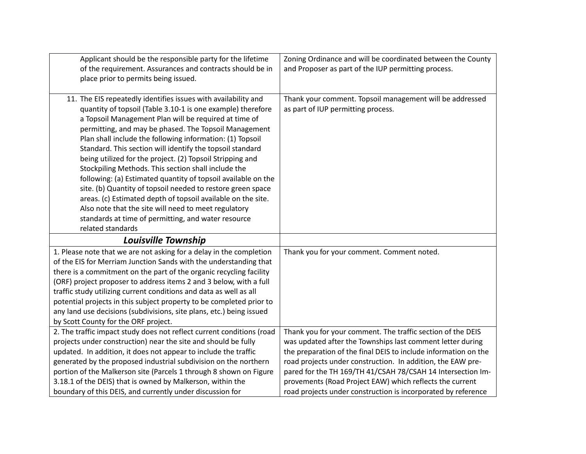| Applicant should be the responsible party for the lifetime<br>of the requirement. Assurances and contracts should be in                                                                                                                                                                                                                                                                                                                                                                                                                                                                                                                                                                                                                                                                                                           | Zoning Ordinance and will be coordinated between the County<br>and Proposer as part of the IUP permitting process.         |
|-----------------------------------------------------------------------------------------------------------------------------------------------------------------------------------------------------------------------------------------------------------------------------------------------------------------------------------------------------------------------------------------------------------------------------------------------------------------------------------------------------------------------------------------------------------------------------------------------------------------------------------------------------------------------------------------------------------------------------------------------------------------------------------------------------------------------------------|----------------------------------------------------------------------------------------------------------------------------|
| place prior to permits being issued.                                                                                                                                                                                                                                                                                                                                                                                                                                                                                                                                                                                                                                                                                                                                                                                              |                                                                                                                            |
| 11. The EIS repeatedly identifies issues with availability and<br>quantity of topsoil (Table 3.10-1 is one example) therefore<br>a Topsoil Management Plan will be required at time of<br>permitting, and may be phased. The Topsoil Management<br>Plan shall include the following information: (1) Topsoil<br>Standard. This section will identify the topsoil standard<br>being utilized for the project. (2) Topsoil Stripping and<br>Stockpiling Methods. This section shall include the<br>following: (a) Estimated quantity of topsoil available on the<br>site. (b) Quantity of topsoil needed to restore green space<br>areas. (c) Estimated depth of topsoil available on the site.<br>Also note that the site will need to meet regulatory<br>standards at time of permitting, and water resource<br>related standards | Thank your comment. Topsoil management will be addressed<br>as part of IUP permitting process.                             |
| Louisville Township                                                                                                                                                                                                                                                                                                                                                                                                                                                                                                                                                                                                                                                                                                                                                                                                               |                                                                                                                            |
| 1. Please note that we are not asking for a delay in the completion<br>of the EIS for Merriam Junction Sands with the understanding that                                                                                                                                                                                                                                                                                                                                                                                                                                                                                                                                                                                                                                                                                          | Thank you for your comment. Comment noted.                                                                                 |
| there is a commitment on the part of the organic recycling facility<br>(ORF) project proposer to address items 2 and 3 below, with a full                                                                                                                                                                                                                                                                                                                                                                                                                                                                                                                                                                                                                                                                                         |                                                                                                                            |
| traffic study utilizing current conditions and data as well as all                                                                                                                                                                                                                                                                                                                                                                                                                                                                                                                                                                                                                                                                                                                                                                |                                                                                                                            |
| potential projects in this subject property to be completed prior to<br>any land use decisions (subdivisions, site plans, etc.) being issued                                                                                                                                                                                                                                                                                                                                                                                                                                                                                                                                                                                                                                                                                      |                                                                                                                            |
| by Scott County for the ORF project.                                                                                                                                                                                                                                                                                                                                                                                                                                                                                                                                                                                                                                                                                                                                                                                              |                                                                                                                            |
| 2. The traffic impact study does not reflect current conditions (road                                                                                                                                                                                                                                                                                                                                                                                                                                                                                                                                                                                                                                                                                                                                                             | Thank you for your comment. The traffic section of the DEIS                                                                |
| projects under construction) near the site and should be fully                                                                                                                                                                                                                                                                                                                                                                                                                                                                                                                                                                                                                                                                                                                                                                    | was updated after the Townships last comment letter during                                                                 |
| updated. In addition, it does not appear to include the traffic                                                                                                                                                                                                                                                                                                                                                                                                                                                                                                                                                                                                                                                                                                                                                                   | the preparation of the final DEIS to include information on the                                                            |
| generated by the proposed industrial subdivision on the northern<br>portion of the Malkerson site (Parcels 1 through 8 shown on Figure                                                                                                                                                                                                                                                                                                                                                                                                                                                                                                                                                                                                                                                                                            | road projects under construction. In addition, the EAW pre-<br>pared for the TH 169/TH 41/CSAH 78/CSAH 14 Intersection Im- |
| 3.18.1 of the DEIS) that is owned by Malkerson, within the                                                                                                                                                                                                                                                                                                                                                                                                                                                                                                                                                                                                                                                                                                                                                                        | provements (Road Project EAW) which reflects the current                                                                   |
| boundary of this DEIS, and currently under discussion for                                                                                                                                                                                                                                                                                                                                                                                                                                                                                                                                                                                                                                                                                                                                                                         | road projects under construction is incorporated by reference                                                              |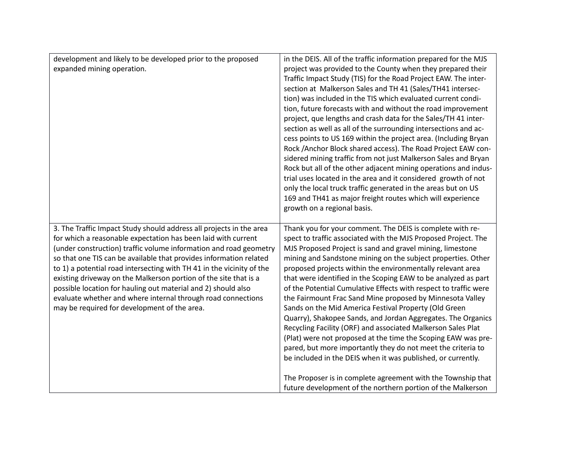| development and likely to be developed prior to the proposed<br>expanded mining operation.                                                                                                                                                                                                                                                                                                                                                                                                                                                                                                                    | in the DEIS. All of the traffic information prepared for the MJS<br>project was provided to the County when they prepared their<br>Traffic Impact Study (TIS) for the Road Project EAW. The inter-<br>section at Malkerson Sales and TH 41 (Sales/TH41 intersec-<br>tion) was included in the TIS which evaluated current condi-<br>tion, future forecasts with and without the road improvement<br>project, que lengths and crash data for the Sales/TH 41 inter-<br>section as well as all of the surrounding intersections and ac-<br>cess points to US 169 within the project area. (Including Bryan<br>Rock /Anchor Block shared access). The Road Project EAW con-<br>sidered mining traffic from not just Malkerson Sales and Bryan<br>Rock but all of the other adjacent mining operations and indus-                                                                                                       |
|---------------------------------------------------------------------------------------------------------------------------------------------------------------------------------------------------------------------------------------------------------------------------------------------------------------------------------------------------------------------------------------------------------------------------------------------------------------------------------------------------------------------------------------------------------------------------------------------------------------|---------------------------------------------------------------------------------------------------------------------------------------------------------------------------------------------------------------------------------------------------------------------------------------------------------------------------------------------------------------------------------------------------------------------------------------------------------------------------------------------------------------------------------------------------------------------------------------------------------------------------------------------------------------------------------------------------------------------------------------------------------------------------------------------------------------------------------------------------------------------------------------------------------------------|
|                                                                                                                                                                                                                                                                                                                                                                                                                                                                                                                                                                                                               | trial uses located in the area and it considered growth of not<br>only the local truck traffic generated in the areas but on US<br>169 and TH41 as major freight routes which will experience<br>growth on a regional basis.                                                                                                                                                                                                                                                                                                                                                                                                                                                                                                                                                                                                                                                                                        |
|                                                                                                                                                                                                                                                                                                                                                                                                                                                                                                                                                                                                               |                                                                                                                                                                                                                                                                                                                                                                                                                                                                                                                                                                                                                                                                                                                                                                                                                                                                                                                     |
| 3. The Traffic Impact Study should address all projects in the area<br>for which a reasonable expectation has been laid with current<br>(under construction) traffic volume information and road geometry<br>so that one TIS can be available that provides information related<br>to 1) a potential road intersecting with TH 41 in the vicinity of the<br>existing driveway on the Malkerson portion of the site that is a<br>possible location for hauling out material and 2) should also<br>evaluate whether and where internal through road connections<br>may be required for development of the area. | Thank you for your comment. The DEIS is complete with re-<br>spect to traffic associated with the MJS Proposed Project. The<br>MJS Proposed Project is sand and gravel mining, limestone<br>mining and Sandstone mining on the subject properties. Other<br>proposed projects within the environmentally relevant area<br>that were identified in the Scoping EAW to be analyzed as part<br>of the Potential Cumulative Effects with respect to traffic were<br>the Fairmount Frac Sand Mine proposed by Minnesota Valley<br>Sands on the Mid America Festival Property (Old Green<br>Quarry), Shakopee Sands, and Jordan Aggregates. The Organics<br>Recycling Facility (ORF) and associated Malkerson Sales Plat<br>(Plat) were not proposed at the time the Scoping EAW was pre-<br>pared, but more importantly they do not meet the criteria to<br>be included in the DEIS when it was published, or currently. |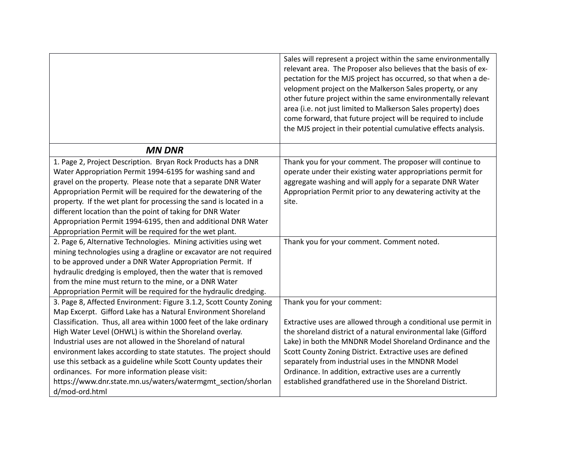|                                                                                                                                                                                                                                                                                                                                                                                                                                                                                                                                                                                                                     | Sales will represent a project within the same environmentally<br>relevant area. The Proposer also believes that the basis of ex-<br>pectation for the MJS project has occurred, so that when a de-<br>velopment project on the Malkerson Sales property, or any<br>other future project within the same environmentally relevant<br>area (i.e. not just limited to Malkerson Sales property) does<br>come forward, that future project will be required to include      |
|---------------------------------------------------------------------------------------------------------------------------------------------------------------------------------------------------------------------------------------------------------------------------------------------------------------------------------------------------------------------------------------------------------------------------------------------------------------------------------------------------------------------------------------------------------------------------------------------------------------------|--------------------------------------------------------------------------------------------------------------------------------------------------------------------------------------------------------------------------------------------------------------------------------------------------------------------------------------------------------------------------------------------------------------------------------------------------------------------------|
|                                                                                                                                                                                                                                                                                                                                                                                                                                                                                                                                                                                                                     | the MJS project in their potential cumulative effects analysis.                                                                                                                                                                                                                                                                                                                                                                                                          |
| <b>MN DNR</b>                                                                                                                                                                                                                                                                                                                                                                                                                                                                                                                                                                                                       |                                                                                                                                                                                                                                                                                                                                                                                                                                                                          |
| 1. Page 2, Project Description. Bryan Rock Products has a DNR<br>Water Appropriation Permit 1994-6195 for washing sand and<br>gravel on the property. Please note that a separate DNR Water<br>Appropriation Permit will be required for the dewatering of the<br>property. If the wet plant for processing the sand is located in a<br>different location than the point of taking for DNR Water<br>Appropriation Permit 1994-6195, then and additional DNR Water<br>Appropriation Permit will be required for the wet plant.                                                                                      | Thank you for your comment. The proposer will continue to<br>operate under their existing water appropriations permit for<br>aggregate washing and will apply for a separate DNR Water<br>Appropriation Permit prior to any dewatering activity at the<br>site.                                                                                                                                                                                                          |
| 2. Page 6, Alternative Technologies. Mining activities using wet<br>mining technologies using a dragline or excavator are not required<br>to be approved under a DNR Water Appropriation Permit. If<br>hydraulic dredging is employed, then the water that is removed<br>from the mine must return to the mine, or a DNR Water<br>Appropriation Permit will be required for the hydraulic dredging.                                                                                                                                                                                                                 | Thank you for your comment. Comment noted.                                                                                                                                                                                                                                                                                                                                                                                                                               |
| 3. Page 8, Affected Environment: Figure 3.1.2, Scott County Zoning<br>Map Excerpt. Gifford Lake has a Natural Environment Shoreland<br>Classification. Thus, all area within 1000 feet of the lake ordinary<br>High Water Level (OHWL) is within the Shoreland overlay.<br>Industrial uses are not allowed in the Shoreland of natural<br>environment lakes according to state statutes. The project should<br>use this setback as a guideline while Scott County updates their<br>ordinances. For more information please visit:<br>https://www.dnr.state.mn.us/waters/watermgmt_section/shorlan<br>d/mod-ord.html | Thank you for your comment:<br>Extractive uses are allowed through a conditional use permit in<br>the shoreland district of a natural environmental lake (Gifford<br>Lake) in both the MNDNR Model Shoreland Ordinance and the<br>Scott County Zoning District. Extractive uses are defined<br>separately from industrial uses in the MNDNR Model<br>Ordinance. In addition, extractive uses are a currently<br>established grandfathered use in the Shoreland District. |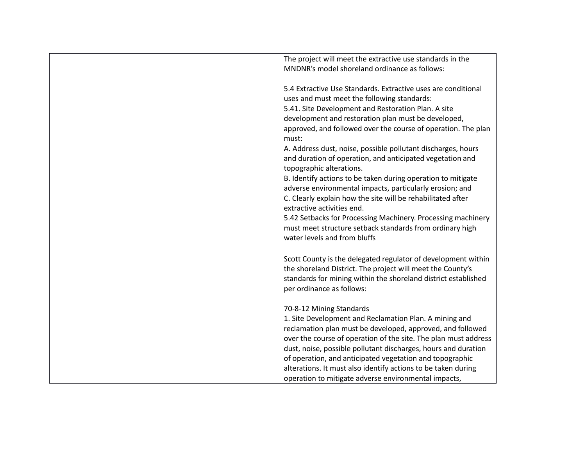| The project will meet the extractive use standards in the              |
|------------------------------------------------------------------------|
| MNDNR's model shoreland ordinance as follows:                          |
|                                                                        |
| 5.4 Extractive Use Standards. Extractive uses are conditional          |
| uses and must meet the following standards:                            |
| 5.41. Site Development and Restoration Plan. A site                    |
|                                                                        |
| development and restoration plan must be developed,                    |
| approved, and followed over the course of operation. The plan<br>must: |
| A. Address dust, noise, possible pollutant discharges, hours           |
| and duration of operation, and anticipated vegetation and              |
| topographic alterations.                                               |
| B. Identify actions to be taken during operation to mitigate           |
| adverse environmental impacts, particularly erosion; and               |
| C. Clearly explain how the site will be rehabilitated after            |
| extractive activities end.                                             |
| 5.42 Setbacks for Processing Machinery. Processing machinery           |
| must meet structure setback standards from ordinary high               |
|                                                                        |
| water levels and from bluffs                                           |
|                                                                        |
| Scott County is the delegated regulator of development within          |
| the shoreland District. The project will meet the County's             |
| standards for mining within the shoreland district established         |
| per ordinance as follows:                                              |
|                                                                        |
| 70-8-12 Mining Standards                                               |
| 1. Site Development and Reclamation Plan. A mining and                 |
| reclamation plan must be developed, approved, and followed             |
| over the course of operation of the site. The plan must address        |
| dust, noise, possible pollutant discharges, hours and duration         |
| of operation, and anticipated vegetation and topographic               |
| alterations. It must also identify actions to be taken during          |
| operation to mitigate adverse environmental impacts,                   |
|                                                                        |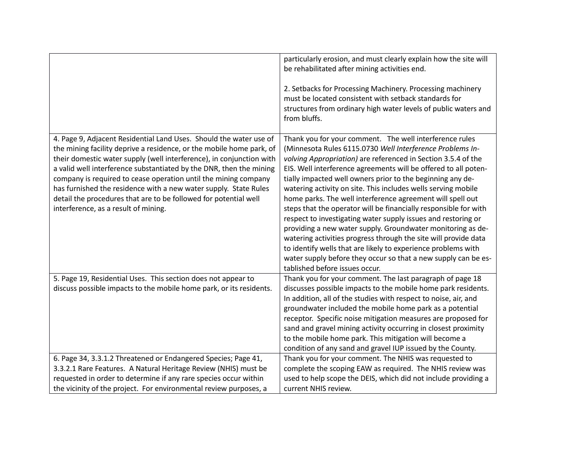|                                                                                                                                                                                                                                                                                                                                                                                                                                                                                                                                              | particularly erosion, and must clearly explain how the site will<br>be rehabilitated after mining activities end.                                                                                                                                                                                                                                                                                                                                                                                                                                                                                                                                                                                                                                                                                                                                                                                 |
|----------------------------------------------------------------------------------------------------------------------------------------------------------------------------------------------------------------------------------------------------------------------------------------------------------------------------------------------------------------------------------------------------------------------------------------------------------------------------------------------------------------------------------------------|---------------------------------------------------------------------------------------------------------------------------------------------------------------------------------------------------------------------------------------------------------------------------------------------------------------------------------------------------------------------------------------------------------------------------------------------------------------------------------------------------------------------------------------------------------------------------------------------------------------------------------------------------------------------------------------------------------------------------------------------------------------------------------------------------------------------------------------------------------------------------------------------------|
|                                                                                                                                                                                                                                                                                                                                                                                                                                                                                                                                              | 2. Setbacks for Processing Machinery. Processing machinery<br>must be located consistent with setback standards for<br>structures from ordinary high water levels of public waters and<br>from bluffs.                                                                                                                                                                                                                                                                                                                                                                                                                                                                                                                                                                                                                                                                                            |
| 4. Page 9, Adjacent Residential Land Uses. Should the water use of<br>the mining facility deprive a residence, or the mobile home park, of<br>their domestic water supply (well interference), in conjunction with<br>a valid well interference substantiated by the DNR, then the mining<br>company is required to cease operation until the mining company<br>has furnished the residence with a new water supply. State Rules<br>detail the procedures that are to be followed for potential well<br>interference, as a result of mining. | Thank you for your comment. The well interference rules<br>(Minnesota Rules 6115.0730 Well Interference Problems In-<br>volving Appropriation) are referenced in Section 3.5.4 of the<br>EIS. Well interference agreements will be offered to all poten-<br>tially impacted well owners prior to the beginning any de-<br>watering activity on site. This includes wells serving mobile<br>home parks. The well interference agreement will spell out<br>steps that the operator will be financially responsible for with<br>respect to investigating water supply issues and restoring or<br>providing a new water supply. Groundwater monitoring as de-<br>watering activities progress through the site will provide data<br>to identify wells that are likely to experience problems with<br>water supply before they occur so that a new supply can be es-<br>tablished before issues occur. |
| 5. Page 19, Residential Uses. This section does not appear to                                                                                                                                                                                                                                                                                                                                                                                                                                                                                | Thank you for your comment. The last paragraph of page 18                                                                                                                                                                                                                                                                                                                                                                                                                                                                                                                                                                                                                                                                                                                                                                                                                                         |
| discuss possible impacts to the mobile home park, or its residents.                                                                                                                                                                                                                                                                                                                                                                                                                                                                          | discusses possible impacts to the mobile home park residents.                                                                                                                                                                                                                                                                                                                                                                                                                                                                                                                                                                                                                                                                                                                                                                                                                                     |
|                                                                                                                                                                                                                                                                                                                                                                                                                                                                                                                                              | In addition, all of the studies with respect to noise, air, and                                                                                                                                                                                                                                                                                                                                                                                                                                                                                                                                                                                                                                                                                                                                                                                                                                   |
|                                                                                                                                                                                                                                                                                                                                                                                                                                                                                                                                              | groundwater included the mobile home park as a potential                                                                                                                                                                                                                                                                                                                                                                                                                                                                                                                                                                                                                                                                                                                                                                                                                                          |
|                                                                                                                                                                                                                                                                                                                                                                                                                                                                                                                                              | receptor. Specific noise mitigation measures are proposed for<br>sand and gravel mining activity occurring in closest proximity                                                                                                                                                                                                                                                                                                                                                                                                                                                                                                                                                                                                                                                                                                                                                                   |
|                                                                                                                                                                                                                                                                                                                                                                                                                                                                                                                                              | to the mobile home park. This mitigation will become a                                                                                                                                                                                                                                                                                                                                                                                                                                                                                                                                                                                                                                                                                                                                                                                                                                            |
|                                                                                                                                                                                                                                                                                                                                                                                                                                                                                                                                              | condition of any sand and gravel IUP issued by the County.                                                                                                                                                                                                                                                                                                                                                                                                                                                                                                                                                                                                                                                                                                                                                                                                                                        |
| 6. Page 34, 3.3.1.2 Threatened or Endangered Species; Page 41,                                                                                                                                                                                                                                                                                                                                                                                                                                                                               | Thank you for your comment. The NHIS was requested to                                                                                                                                                                                                                                                                                                                                                                                                                                                                                                                                                                                                                                                                                                                                                                                                                                             |
| 3.3.2.1 Rare Features. A Natural Heritage Review (NHIS) must be                                                                                                                                                                                                                                                                                                                                                                                                                                                                              | complete the scoping EAW as required. The NHIS review was                                                                                                                                                                                                                                                                                                                                                                                                                                                                                                                                                                                                                                                                                                                                                                                                                                         |
| requested in order to determine if any rare species occur within                                                                                                                                                                                                                                                                                                                                                                                                                                                                             | used to help scope the DEIS, which did not include providing a                                                                                                                                                                                                                                                                                                                                                                                                                                                                                                                                                                                                                                                                                                                                                                                                                                    |
| the vicinity of the project. For environmental review purposes, a                                                                                                                                                                                                                                                                                                                                                                                                                                                                            | current NHIS review.                                                                                                                                                                                                                                                                                                                                                                                                                                                                                                                                                                                                                                                                                                                                                                                                                                                                              |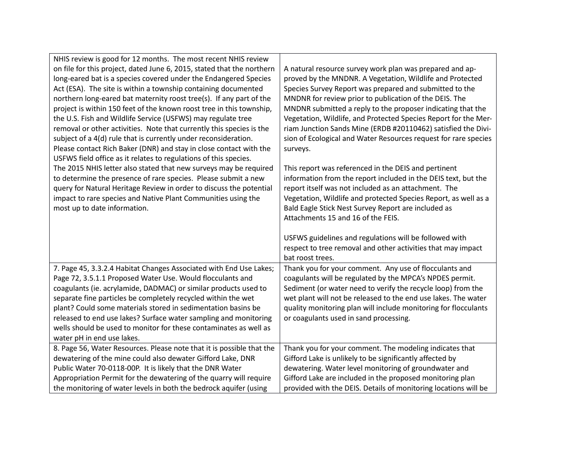| NHIS review is good for 12 months. The most recent NHIS review                                                                          |                                                                                                                              |
|-----------------------------------------------------------------------------------------------------------------------------------------|------------------------------------------------------------------------------------------------------------------------------|
| on file for this project, dated June 6, 2015, stated that the northern                                                                  | A natural resource survey work plan was prepared and ap-                                                                     |
| long-eared bat is a species covered under the Endangered Species                                                                        | proved by the MNDNR. A Vegetation, Wildlife and Protected                                                                    |
| Act (ESA). The site is within a township containing documented                                                                          | Species Survey Report was prepared and submitted to the                                                                      |
| northern long-eared bat maternity roost tree(s). If any part of the                                                                     | MNDNR for review prior to publication of the DEIS. The                                                                       |
| project is within 150 feet of the known roost tree in this township,                                                                    | MNDNR submitted a reply to the proposer indicating that the                                                                  |
| the U.S. Fish and Wildlife Service (USFWS) may regulate tree                                                                            | Vegetation, Wildlife, and Protected Species Report for the Mer-                                                              |
| removal or other activities. Note that currently this species is the                                                                    | riam Junction Sands Mine (ERDB #20110462) satisfied the Divi-                                                                |
| subject of a 4(d) rule that is currently under reconsideration.                                                                         | sion of Ecological and Water Resources request for rare species                                                              |
| Please contact Rich Baker (DNR) and stay in close contact with the                                                                      | surveys.                                                                                                                     |
| USFWS field office as it relates to regulations of this species.                                                                        |                                                                                                                              |
| The 2015 NHIS letter also stated that new surveys may be required                                                                       | This report was referenced in the DEIS and pertinent                                                                         |
| to determine the presence of rare species. Please submit a new                                                                          | information from the report included in the DEIS text, but the                                                               |
| query for Natural Heritage Review in order to discuss the potential                                                                     | report itself was not included as an attachment. The                                                                         |
| impact to rare species and Native Plant Communities using the                                                                           | Vegetation, Wildlife and protected Species Report, as well as a                                                              |
| most up to date information.                                                                                                            | Bald Eagle Stick Nest Survey Report are included as                                                                          |
|                                                                                                                                         | Attachments 15 and 16 of the FEIS.                                                                                           |
|                                                                                                                                         |                                                                                                                              |
|                                                                                                                                         | USFWS guidelines and regulations will be followed with                                                                       |
|                                                                                                                                         | respect to tree removal and other activities that may impact                                                                 |
|                                                                                                                                         | bat roost trees.                                                                                                             |
| 7. Page 45, 3.3.2.4 Habitat Changes Associated with End Use Lakes;                                                                      | Thank you for your comment. Any use of flocculants and                                                                       |
| Page 72, 3.5.1.1 Proposed Water Use. Would flocculants and                                                                              | coagulants will be regulated by the MPCA's NPDES permit.                                                                     |
| coagulants (ie. acrylamide, DADMAC) or similar products used to                                                                         | Sediment (or water need to verify the recycle loop) from the                                                                 |
| separate fine particles be completely recycled within the wet                                                                           | wet plant will not be released to the end use lakes. The water                                                               |
| plant? Could some materials stored in sedimentation basins be                                                                           | quality monitoring plan will include monitoring for flocculants                                                              |
| released to end use lakes? Surface water sampling and monitoring                                                                        | or coagulants used in sand processing.                                                                                       |
| wells should be used to monitor for these contaminates as well as                                                                       |                                                                                                                              |
| water pH in end use lakes.                                                                                                              |                                                                                                                              |
| 8. Page 56, Water Resources. Please note that it is possible that the                                                                   | Thank you for your comment. The modeling indicates that                                                                      |
| dewatering of the mine could also dewater Gifford Lake, DNR                                                                             | Gifford Lake is unlikely to be significantly affected by<br>dewatering. Water level monitoring of groundwater and            |
| Public Water 70-0118-00P. It is likely that the DNR Water                                                                               |                                                                                                                              |
|                                                                                                                                         |                                                                                                                              |
| Appropriation Permit for the dewatering of the quarry will require<br>the monitoring of water levels in both the bedrock aquifer (using | Gifford Lake are included in the proposed monitoring plan<br>provided with the DEIS. Details of monitoring locations will be |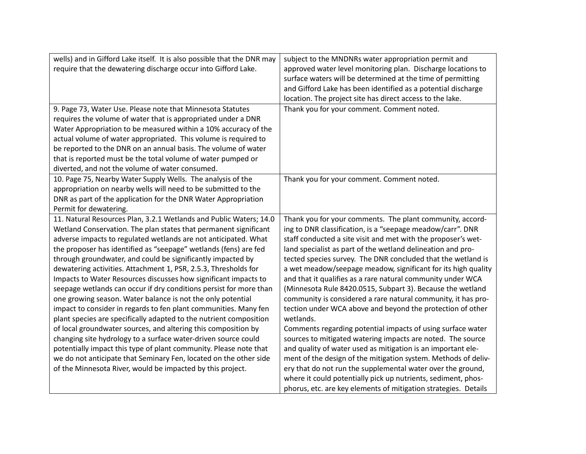| wells) and in Gifford Lake itself. It is also possible that the DNR may | subject to the MNDNRs water appropriation permit and            |
|-------------------------------------------------------------------------|-----------------------------------------------------------------|
| require that the dewatering discharge occur into Gifford Lake.          | approved water level monitoring plan. Discharge locations to    |
|                                                                         | surface waters will be determined at the time of permitting     |
|                                                                         | and Gifford Lake has been identified as a potential discharge   |
|                                                                         | location. The project site has direct access to the lake.       |
| 9. Page 73, Water Use. Please note that Minnesota Statutes              | Thank you for your comment. Comment noted.                      |
| requires the volume of water that is appropriated under a DNR           |                                                                 |
| Water Appropriation to be measured within a 10% accuracy of the         |                                                                 |
| actual volume of water appropriated. This volume is required to         |                                                                 |
| be reported to the DNR on an annual basis. The volume of water          |                                                                 |
| that is reported must be the total volume of water pumped or            |                                                                 |
| diverted, and not the volume of water consumed.                         |                                                                 |
| 10. Page 75, Nearby Water Supply Wells. The analysis of the             | Thank you for your comment. Comment noted.                      |
| appropriation on nearby wells will need to be submitted to the          |                                                                 |
| DNR as part of the application for the DNR Water Appropriation          |                                                                 |
| Permit for dewatering.                                                  |                                                                 |
| 11. Natural Resources Plan, 3.2.1 Wetlands and Public Waters; 14.0      | Thank you for your comments. The plant community, accord-       |
| Wetland Conservation. The plan states that permanent significant        | ing to DNR classification, is a "seepage meadow/carr". DNR      |
| adverse impacts to regulated wetlands are not anticipated. What         | staff conducted a site visit and met with the proposer's wet-   |
| the proposer has identified as "seepage" wetlands (fens) are fed        | land specialist as part of the wetland delineation and pro-     |
| through groundwater, and could be significantly impacted by             | tected species survey. The DNR concluded that the wetland is    |
| dewatering activities. Attachment 1, PSR, 2.5.3, Thresholds for         | a wet meadow/seepage meadow, significant for its high quality   |
| Impacts to Water Resources discusses how significant impacts to         | and that it qualifies as a rare natural community under WCA     |
| seepage wetlands can occur if dry conditions persist for more than      | (Minnesota Rule 8420.0515, Subpart 3). Because the wetland      |
| one growing season. Water balance is not the only potential             | community is considered a rare natural community, it has pro-   |
| impact to consider in regards to fen plant communities. Many fen        | tection under WCA above and beyond the protection of other      |
| plant species are specifically adapted to the nutrient composition      | wetlands.                                                       |
| of local groundwater sources, and altering this composition by          | Comments regarding potential impacts of using surface water     |
| changing site hydrology to a surface water-driven source could          | sources to mitigated watering impacts are noted. The source     |
| potentially impact this type of plant community. Please note that       | and quality of water used as mitigation is an important ele-    |
| we do not anticipate that Seminary Fen, located on the other side       | ment of the design of the mitigation system. Methods of deliv-  |
| of the Minnesota River, would be impacted by this project.              | ery that do not run the supplemental water over the ground,     |
|                                                                         | where it could potentially pick up nutrients, sediment, phos-   |
|                                                                         | phorus, etc. are key elements of mitigation strategies. Details |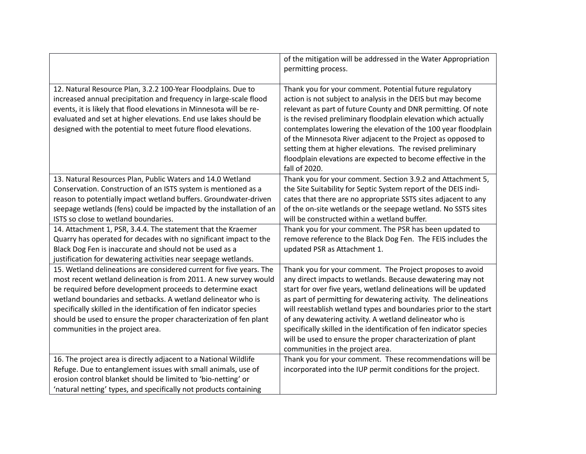|                                                                                                                                                                                                                                                                                                                                                                                                                                                                                                                         | of the mitigation will be addressed in the Water Appropriation<br>permitting process.                                                                                                                                                                                                                                                                                                                                                                                                                                                                                  |
|-------------------------------------------------------------------------------------------------------------------------------------------------------------------------------------------------------------------------------------------------------------------------------------------------------------------------------------------------------------------------------------------------------------------------------------------------------------------------------------------------------------------------|------------------------------------------------------------------------------------------------------------------------------------------------------------------------------------------------------------------------------------------------------------------------------------------------------------------------------------------------------------------------------------------------------------------------------------------------------------------------------------------------------------------------------------------------------------------------|
| 12. Natural Resource Plan, 3.2.2 100-Year Floodplains. Due to<br>increased annual precipitation and frequency in large-scale flood<br>events, it is likely that flood elevations in Minnesota will be re-<br>evaluated and set at higher elevations. End use lakes should be<br>designed with the potential to meet future flood elevations.                                                                                                                                                                            | Thank you for your comment. Potential future regulatory<br>action is not subject to analysis in the DEIS but may become<br>relevant as part of future County and DNR permitting. Of note<br>is the revised preliminary floodplain elevation which actually<br>contemplates lowering the elevation of the 100 year floodplain<br>of the Minnesota River adjacent to the Project as opposed to<br>setting them at higher elevations. The revised preliminary<br>floodplain elevations are expected to become effective in the<br>fall of 2020.                           |
| 13. Natural Resources Plan, Public Waters and 14.0 Wetland<br>Conservation. Construction of an ISTS system is mentioned as a<br>reason to potentially impact wetland buffers. Groundwater-driven<br>seepage wetlands (fens) could be impacted by the installation of an<br>ISTS so close to wetland boundaries.<br>14. Attachment 1, PSR, 3.4.4. The statement that the Kraemer<br>Quarry has operated for decades with no significant impact to the<br>Black Dog Fen is inaccurate and should not be used as a         | Thank you for your comment. Section 3.9.2 and Attachment 5,<br>the Site Suitability for Septic System report of the DEIS indi-<br>cates that there are no appropriate SSTS sites adjacent to any<br>of the on-site wetlands or the seepage wetland. No SSTS sites<br>will be constructed within a wetland buffer.<br>Thank you for your comment. The PSR has been updated to<br>remove reference to the Black Dog Fen. The FEIS includes the<br>updated PSR as Attachment 1.                                                                                           |
| justification for dewatering activities near seepage wetlands.<br>15. Wetland delineations are considered current for five years. The<br>most recent wetland delineation is from 2011. A new survey would<br>be required before development proceeds to determine exact<br>wetland boundaries and setbacks. A wetland delineator who is<br>specifically skilled in the identification of fen indicator species<br>should be used to ensure the proper characterization of fen plant<br>communities in the project area. | Thank you for your comment. The Project proposes to avoid<br>any direct impacts to wetlands. Because dewatering may not<br>start for over five years, wetland delineations will be updated<br>as part of permitting for dewatering activity. The delineations<br>will reestablish wetland types and boundaries prior to the start<br>of any dewatering activity. A wetland delineator who is<br>specifically skilled in the identification of fen indicator species<br>will be used to ensure the proper characterization of plant<br>communities in the project area. |
| 16. The project area is directly adjacent to a National Wildlife<br>Refuge. Due to entanglement issues with small animals, use of<br>erosion control blanket should be limited to 'bio-netting' or<br>'natural netting' types, and specifically not products containing                                                                                                                                                                                                                                                 | Thank you for your comment. These recommendations will be<br>incorporated into the IUP permit conditions for the project.                                                                                                                                                                                                                                                                                                                                                                                                                                              |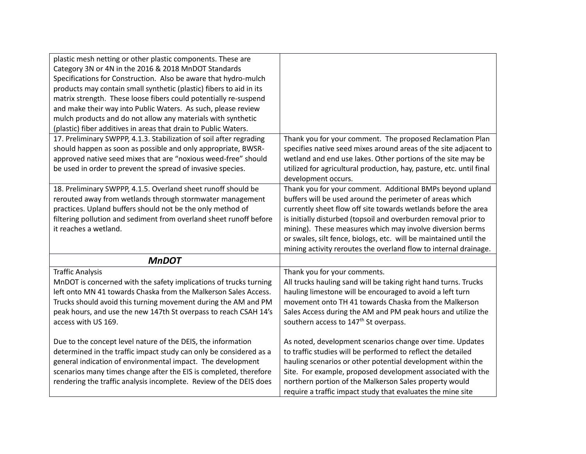| plastic mesh netting or other plastic components. These are         |                                                                      |
|---------------------------------------------------------------------|----------------------------------------------------------------------|
| Category 3N or 4N in the 2016 & 2018 MnDOT Standards                |                                                                      |
| Specifications for Construction. Also be aware that hydro-mulch     |                                                                      |
| products may contain small synthetic (plastic) fibers to aid in its |                                                                      |
| matrix strength. These loose fibers could potentially re-suspend    |                                                                      |
| and make their way into Public Waters. As such, please review       |                                                                      |
| mulch products and do not allow any materials with synthetic        |                                                                      |
| (plastic) fiber additives in areas that drain to Public Waters.     |                                                                      |
| 17. Preliminary SWPPP, 4.1.3. Stabilization of soil after regrading | Thank you for your comment. The proposed Reclamation Plan            |
| should happen as soon as possible and only appropriate, BWSR-       | specifies native seed mixes around areas of the site adjacent to     |
| approved native seed mixes that are "noxious weed-free" should      | wetland and end use lakes. Other portions of the site may be         |
| be used in order to prevent the spread of invasive species.         | utilized for agricultural production, hay, pasture, etc. until final |
|                                                                     | development occurs.                                                  |
| 18. Preliminary SWPPP, 4.1.5. Overland sheet runoff should be       | Thank you for your comment. Additional BMPs beyond upland            |
| rerouted away from wetlands through stormwater management           | buffers will be used around the perimeter of areas which             |
| practices. Upland buffers should not be the only method of          | currently sheet flow off site towards wetlands before the area       |
| filtering pollution and sediment from overland sheet runoff before  | is initially disturbed (topsoil and overburden removal prior to      |
| it reaches a wetland.                                               | mining). These measures which may involve diversion berms            |
|                                                                     | or swales, silt fence, biologs, etc. will be maintained until the    |
|                                                                     | mining activity reroutes the overland flow to internal drainage.     |
| <b>MnDOT</b>                                                        |                                                                      |
| <b>Traffic Analysis</b>                                             | Thank you for your comments.                                         |
| MnDOT is concerned with the safety implications of trucks turning   | All trucks hauling sand will be taking right hand turns. Trucks      |
| left onto MN 41 towards Chaska from the Malkerson Sales Access.     | hauling limestone will be encouraged to avoid a left turn            |
| Trucks should avoid this turning movement during the AM and PM      | movement onto TH 41 towards Chaska from the Malkerson                |
| peak hours, and use the new 147th St overpass to reach CSAH 14's    | Sales Access during the AM and PM peak hours and utilize the         |
| access with US 169.                                                 | southern access to 147 <sup>th</sup> St overpass.                    |
|                                                                     |                                                                      |
| Due to the concept level nature of the DEIS, the information        | As noted, development scenarios change over time. Updates            |
| determined in the traffic impact study can only be considered as a  | to traffic studies will be performed to reflect the detailed         |
| general indication of environmental impact. The development         | hauling scenarios or other potential development within the          |
| scenarios many times change after the EIS is completed, therefore   | Site. For example, proposed development associated with the          |
| rendering the traffic analysis incomplete. Review of the DEIS does  | northern portion of the Malkerson Sales property would               |
|                                                                     | require a traffic impact study that evaluates the mine site          |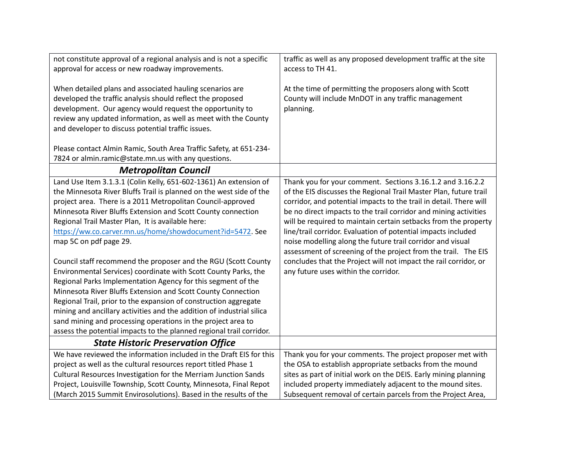| not constitute approval of a regional analysis and is not a specific<br>approval for access or new roadway improvements.                  | traffic as well as any proposed development traffic at the site<br>access to TH 41. |
|-------------------------------------------------------------------------------------------------------------------------------------------|-------------------------------------------------------------------------------------|
|                                                                                                                                           |                                                                                     |
| When detailed plans and associated hauling scenarios are                                                                                  | At the time of permitting the proposers along with Scott                            |
| developed the traffic analysis should reflect the proposed                                                                                | County will include MnDOT in any traffic management                                 |
| development. Our agency would request the opportunity to                                                                                  | planning.                                                                           |
| review any updated information, as well as meet with the County                                                                           |                                                                                     |
| and developer to discuss potential traffic issues.                                                                                        |                                                                                     |
| Please contact Almin Ramic, South Area Traffic Safety, at 651-234-                                                                        |                                                                                     |
| 7824 or almin.ramic@state.mn.us with any questions.                                                                                       |                                                                                     |
| <b>Metropolitan Council</b>                                                                                                               |                                                                                     |
| Land Use Item 3.1.3.1 (Colin Kelly, 651-602-1361) An extension of                                                                         | Thank you for your comment. Sections 3.16.1.2 and 3.16.2.2                          |
| the Minnesota River Bluffs Trail is planned on the west side of the                                                                       | of the EIS discusses the Regional Trail Master Plan, future trail                   |
| project area. There is a 2011 Metropolitan Council-approved                                                                               | corridor, and potential impacts to the trail in detail. There will                  |
| Minnesota River Bluffs Extension and Scott County connection                                                                              | be no direct impacts to the trail corridor and mining activities                    |
| Regional Trail Master Plan, It is available here:                                                                                         | will be required to maintain certain setbacks from the property                     |
| https://ww.co.carver.mn.us/home/showdocument?id=5472. See                                                                                 | line/trail corridor. Evaluation of potential impacts included                       |
| map 5C on pdf page 29.                                                                                                                    | noise modelling along the future trail corridor and visual                          |
|                                                                                                                                           | assessment of screening of the project from the trail. The EIS                      |
| Council staff recommend the proposer and the RGU (Scott County                                                                            | concludes that the Project will not impact the rail corridor, or                    |
| Environmental Services) coordinate with Scott County Parks, the                                                                           | any future uses within the corridor.                                                |
| Regional Parks Implementation Agency for this segment of the                                                                              |                                                                                     |
| Minnesota River Bluffs Extension and Scott County Connection                                                                              |                                                                                     |
| Regional Trail, prior to the expansion of construction aggregate<br>mining and ancillary activities and the addition of industrial silica |                                                                                     |
| sand mining and processing operations in the project area to                                                                              |                                                                                     |
| assess the potential impacts to the planned regional trail corridor.                                                                      |                                                                                     |
| <b>State Historic Preservation Office</b>                                                                                                 |                                                                                     |
| We have reviewed the information included in the Draft EIS for this                                                                       | Thank you for your comments. The project proposer met with                          |
| project as well as the cultural resources report titled Phase 1                                                                           | the OSA to establish appropriate setbacks from the mound                            |
| Cultural Resources Investigation for the Merriam Junction Sands                                                                           | sites as part of initial work on the DEIS. Early mining planning                    |
| Project, Louisville Township, Scott County, Minnesota, Final Repot                                                                        | included property immediately adjacent to the mound sites.                          |
| (March 2015 Summit Envirosolutions). Based in the results of the                                                                          | Subsequent removal of certain parcels from the Project Area,                        |